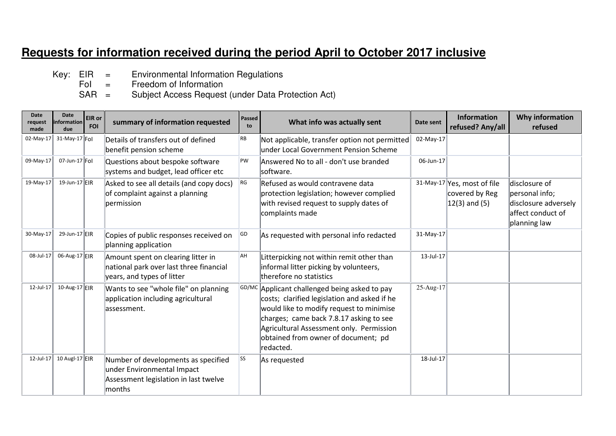## **Requests for information received during the period April to October 2017 inclusive**

- Key:  $EIR =$  Environmental Information Regulations<br>Fol = Freedom of Information
	- Freedom of Information
- SAR = Subject Access Request (under Data Protection Act)

| Date<br>request<br>made | Date<br>information<br>due | EIR or<br><b>FOI</b> | summary of information requested                                                                                     | Passed<br>to | What info was actually sent                                                                                                                                                                                                                                                          | Date sent | <b>Information</b><br>refused? Any/all                              | Why information<br>refused                                                                   |
|-------------------------|----------------------------|----------------------|----------------------------------------------------------------------------------------------------------------------|--------------|--------------------------------------------------------------------------------------------------------------------------------------------------------------------------------------------------------------------------------------------------------------------------------------|-----------|---------------------------------------------------------------------|----------------------------------------------------------------------------------------------|
|                         | 02-May-17 31-May-17 Fol    |                      | Details of transfers out of defined<br>benefit pension scheme                                                        | RB           | Not applicable, transfer option not permitted<br>under Local Government Pension Scheme                                                                                                                                                                                               | 02-May-17 |                                                                     |                                                                                              |
| 09-May-17               | 07-Jun-17 $ F_O $          |                      | Questions about bespoke software<br>systems and budget, lead officer etc                                             | PW           | Answered No to all - don't use branded<br>software.                                                                                                                                                                                                                                  | 06-Jun-17 |                                                                     |                                                                                              |
| 19-May-17               | 19-Jun-17 EIR              |                      | Asked to see all details (and copy docs)<br>of complaint against a planning<br>permission                            | RG           | Refused as would contravene data<br>protection legislation; however complied<br>with revised request to supply dates of<br>complaints made                                                                                                                                           |           | 31-May-17 Yes, most of file<br>covered by Reg<br>$ 12(3)$ and $(5)$ | disclosure of<br>personal info;<br>disclosure adversely<br>affect conduct of<br>planning law |
| 30-May-17               | 29-Jun-17 EIR              |                      | Copies of public responses received on<br>planning application                                                       | GD           | As requested with personal info redacted                                                                                                                                                                                                                                             | 31-May-17 |                                                                     |                                                                                              |
| 08-Jul-17               | 06-Aug-17 EIR              |                      | Amount spent on clearing litter in<br>national park over last three financial<br>years, and types of litter          | AH           | Litterpicking not within remit other than<br>informal litter picking by volunteers,<br>therefore no statistics                                                                                                                                                                       | 13-Jul-17 |                                                                     |                                                                                              |
| 12-Jul-17               | 10-Aug-17 EIR              |                      | Wants to see "whole file" on planning<br>application including agricultural<br>lassessment.                          |              | GD/MC Applicant challenged being asked to pay<br>costs; clarified legislation and asked if he<br>would like to modify request to minimise<br>charges; came back 7.8.17 asking to see<br>Agricultural Assessment only. Permission<br>obtained from owner of document; pd<br>redacted. | 25-Aug-17 |                                                                     |                                                                                              |
| 12-Jul-17               | 10 Augl-17 $E$ IR          |                      | Number of developments as specified<br>under Environmental Impact<br>Assessment legislation in last twelve<br>months | <b>SS</b>    | As requested                                                                                                                                                                                                                                                                         | 18-Jul-17 |                                                                     |                                                                                              |